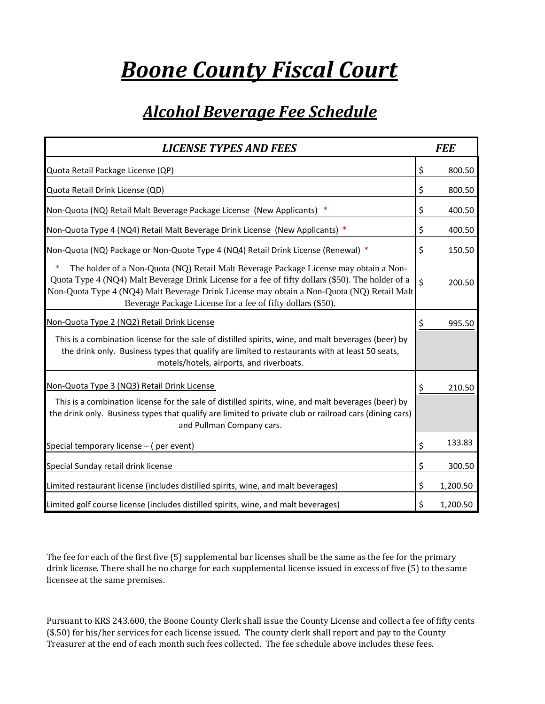## *Boone County Fiscal Court*

## *Alcohol Beverage Fee Schedule*

| <b>LICENSE TYPES AND FEES</b>                                                                                                                                                                                                                                                                                                                                |                    | <b>FEE</b> |
|--------------------------------------------------------------------------------------------------------------------------------------------------------------------------------------------------------------------------------------------------------------------------------------------------------------------------------------------------------------|--------------------|------------|
| Quota Retail Package License (QP)                                                                                                                                                                                                                                                                                                                            | \$                 | 800.50     |
| Quota Retail Drink License (QD)                                                                                                                                                                                                                                                                                                                              | \$                 | 800.50     |
| Non-Quota (NQ) Retail Malt Beverage Package License (New Applicants) *                                                                                                                                                                                                                                                                                       | \$                 | 400.50     |
| Non-Quota Type 4 (NQ4) Retail Malt Beverage Drink License (New Applicants) *                                                                                                                                                                                                                                                                                 | \$                 | 400.50     |
| Non-Quota (NQ) Package or Non-Quote Type 4 (NQ4) Retail Drink License (Renewal) *                                                                                                                                                                                                                                                                            | \$                 | 150.50     |
| ∗<br>The holder of a Non-Quota (NQ) Retail Malt Beverage Package License may obtain a Non-<br>Quota Type 4 (NQ4) Malt Beverage Drink License for a fee of fifty dollars (\$50). The holder of a<br>Non-Quota Type 4 (NQ4) Malt Beverage Drink License may obtain a Non-Quota (NQ) Retail Malt<br>Beverage Package License for a fee of fifty dollars (\$50). | $\dot{\mathsf{S}}$ | 200.50     |
| Non-Quota Type 2 (NQ2) Retail Drink License                                                                                                                                                                                                                                                                                                                  | \$                 | 995.50     |
| This is a combination license for the sale of distilled spirits, wine, and malt beverages (beer) by<br>the drink only. Business types that qualify are limited to restaurants with at least 50 seats,<br>motels/hotels, airports, and riverboats.                                                                                                            |                    |            |
| Non-Quota Type 3 (NQ3) Retail Drink License                                                                                                                                                                                                                                                                                                                  | \$                 | 210.50     |
| This is a combination license for the sale of distilled spirits, wine, and malt beverages (beer) by<br>the drink only. Business types that qualify are limited to private club or railroad cars (dining cars)<br>and Pullman Company cars.                                                                                                                   |                    |            |
| Special temporary license - (per event)                                                                                                                                                                                                                                                                                                                      | \$                 | 133.83     |
| Special Sunday retail drink license                                                                                                                                                                                                                                                                                                                          | \$                 | 300.50     |
| Limited restaurant license (includes distilled spirits, wine, and malt beverages)                                                                                                                                                                                                                                                                            | \$                 | 1,200.50   |
| Limited golf course license (includes distilled spirits, wine, and malt beverages)                                                                                                                                                                                                                                                                           | \$                 | 1,200.50   |

The fee for each of the first five (5) supplemental bar licenses shall be the same as the fee for the primary drink license. There shall be no charge for each supplemental license issued in excess of five (5) to the same licensee at the same premises.

Pursuant to KRS 243.600, the Boone County Clerk shall issue the County License and collect a fee of fifty cents (\$.50) for his/her services for each license issued. The county clerk shall report and pay to the County Treasurer at the end of each month such fees collected. The fee schedule above includes these fees.